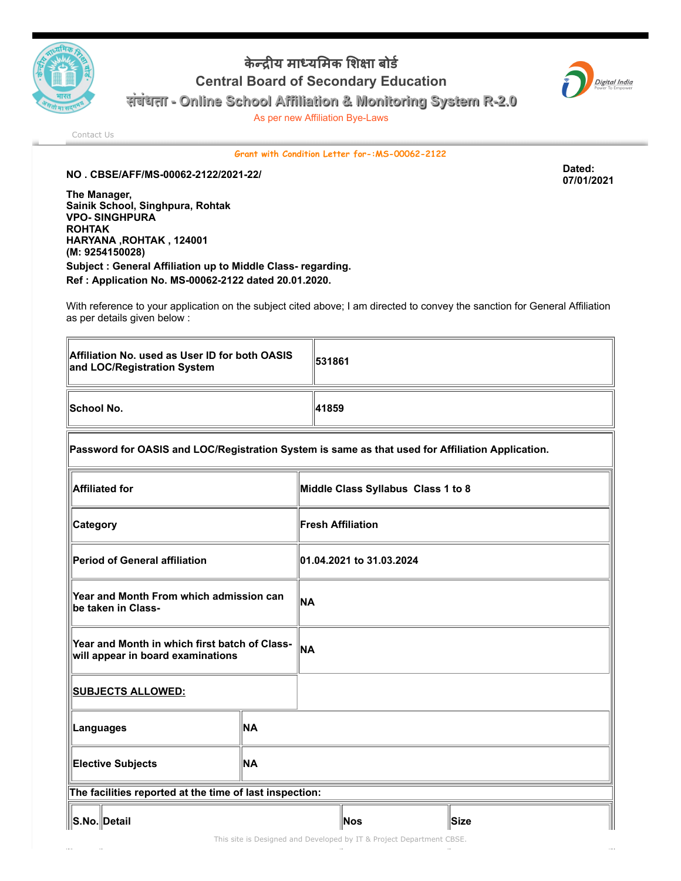

## केन्द्रीय माध्यमिक शिक्षा बोर्ड Central Board of Secondary Education



संबंधता - Online School Affiliation & Monitoring System R-2.0

As per new Affiliation Bye-Laws

[Contact Us](http://cbseaff.nic.in/cbse_aff/help.aspx)

Grant with Condition Letter for-:MS-00062-2122

NO . CBSE/AFF/MS-00062-2122/2021-22/ Dated:

The Manager, Sainik School, Singhpura, Rohtak VPO- SINGHPURA ROHTAK HARYANA ,ROHTAK , 124001 (M: 9254150028) Subject : General Affiliation up to Middle Class- regarding. Ref : Application No. MS-00062-2122 dated 20.01.2020.

With reference to your application on the subject cited above; I am directed to convey the sanction for General Affiliation as per details given below :

| Affiliation No. used as User ID for both OASIS<br>and LOC/Registration System | 1531861 |
|-------------------------------------------------------------------------------|---------|
| <b>School No.</b>                                                             | 41859   |

## Password for OASIS and LOC/Registration System is same as that used for Affiliation Application.

| <b>Affiliated for</b>                                                              |           | Middle Class Syllabus Class 1 to 8 |     |             |
|------------------------------------------------------------------------------------|-----------|------------------------------------|-----|-------------|
| <b>Category</b>                                                                    |           | <b>Fresh Affiliation</b>           |     |             |
| Period of General affiliation                                                      |           | 01.04.2021 to 31.03.2024           |     |             |
| Year and Month From which admission can<br>be taken in Class-                      |           | <b>NA</b>                          |     |             |
| Year and Month in which first batch of Class-<br>will appear in board examinations |           | <b>NA</b>                          |     |             |
| <b>SUBJECTS ALLOWED:</b>                                                           |           |                                    |     |             |
| Languages                                                                          | <b>NA</b> |                                    |     |             |
| <b>NA</b><br><b>Elective Subjects</b>                                              |           |                                    |     |             |
| The facilities reported at the time of last inspection:                            |           |                                    |     |             |
| ∥S.No.∥Detail                                                                      |           |                                    | Nos | <b>Size</b> |

07/01/2021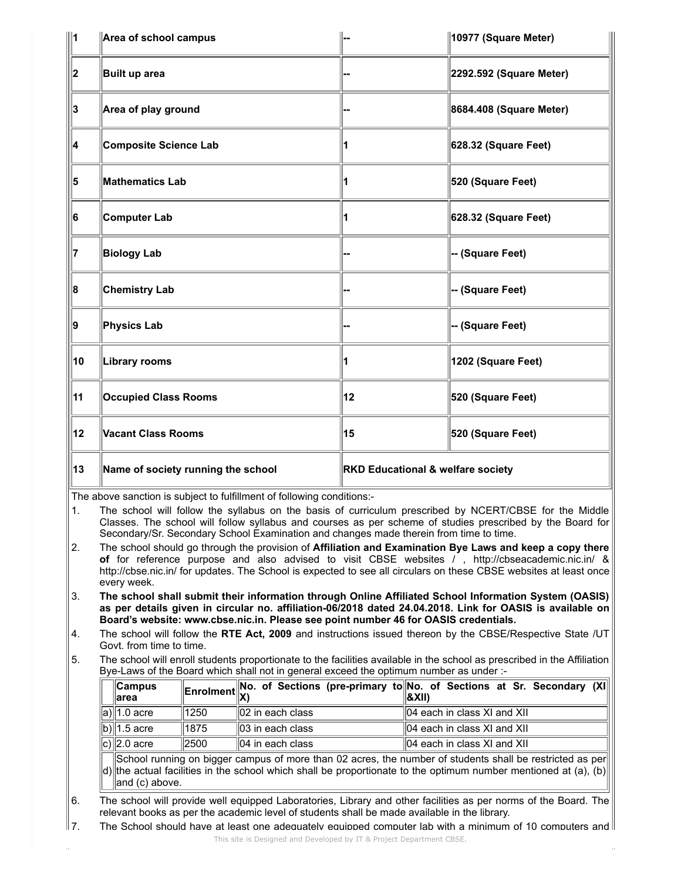| ⊪1 | Area of school campus              |                                   | 10977 (Square Meter)    |
|----|------------------------------------|-----------------------------------|-------------------------|
| 2  | Built up area                      |                                   | 2292.592 (Square Meter) |
| 3  | Area of play ground                |                                   | 8684.408 (Square Meter) |
| 4  | <b>Composite Science Lab</b>       |                                   | 628.32 (Square Feet)    |
| 5  | <b>Mathematics Lab</b>             |                                   | 520 (Square Feet)       |
| 6  | Computer Lab                       |                                   | 628.32 (Square Feet)    |
| 17 | <b>Biology Lab</b>                 |                                   | -- (Square Feet)        |
| 8  | <b>Chemistry Lab</b>               |                                   | -- (Square Feet)        |
| 9  | <b>Physics Lab</b>                 |                                   | -- (Square Feet)        |
| 10 | Library rooms                      |                                   | 1202 (Square Feet)      |
| 11 | <b>Occupied Class Rooms</b>        | 12                                | 520 (Square Feet)       |
| 12 | <b>Vacant Class Rooms</b>          | 15                                | 520 (Square Feet)       |
| 13 | Name of society running the school | RKD Educational & welfare society |                         |

The above sanction is subject to fulfillment of following conditions:-

1. The school will follow the syllabus on the basis of curriculum prescribed by NCERT/CBSE for the Middle Classes. The school will follow syllabus and courses as per scheme of studies prescribed by the Board for Secondary/Sr. Secondary School Examination and changes made therein from time to time.

- 2. The school should go through the provision of Affiliation and Examination Bye Laws and keep a copy there of for reference purpose and also advised to visit CBSE websites / , http://cbseacademic.nic.in/ & http://cbse.nic.in/ for updates. The School is expected to see all circulars on these CBSE websites at least once every week.
- 3. The school shall submit their information through Online Affiliated School Information System (OASIS) as per details given in circular no. affiliation-06/2018 dated 24.04.2018. Link for OASIS is available on Board's website: www.cbse.nic.in. Please see point number 46 for OASIS credentials.
- 4. The school will follow the RTE Act, 2009 and instructions issued thereon by the CBSE/Respective State /UT Govt. from time to time.
- 5. The school will enroll students proportionate to the facilities available in the school as prescribed in the Affiliation Bye-Laws of the Board which shall not in general exceed the optimum number as under :-

| ∥Campus<br>⊪area                                                                                                                                                                                                                                                                                                             |      |                   | Enrolment No. of Sections (pre-primary to No. of Sections at Sr. Secondary (XI)<br> &XII) |  |  |
|------------------------------------------------------------------------------------------------------------------------------------------------------------------------------------------------------------------------------------------------------------------------------------------------------------------------------|------|-------------------|-------------------------------------------------------------------------------------------|--|--|
| a)∥1.0 acre                                                                                                                                                                                                                                                                                                                  | 1250 | ∥02 in each class | $\parallel$ 04 each in class XI and XII                                                   |  |  |
| b) $\vert$ 1.5 acre                                                                                                                                                                                                                                                                                                          | 1875 | ∥03 in each class | ll04 each in class Ⅺ and Ⅺ l                                                              |  |  |
| c) $\ 2.0\>\text{acre}$                                                                                                                                                                                                                                                                                                      | 2500 | ∥04 in each class | $\parallel$ 04 each in class XI and XII                                                   |  |  |
| School running on bigger campus of more than 02 acres, the number of students shall be restricted as per<br>$\mathsf{d}\mathsf{d}\mathsf{d}$ and $\mathsf{f}\mathsf{c}\mathsf{d}\mathsf{d}\mathsf{d}$ is the school which shall be prepartioned to the entimum number mentioned of (e). (b) $\mathsf{d}\mathsf{d}\mathsf{d}$ |      |                   |                                                                                           |  |  |

d) the actual facilities in the school which shall be proportionate to the optimum number mentioned at (a), (b) and (c) above.

- 6. The school will provide well equipped Laboratories, Library and other facilities as per norms of the Board. The relevant books as per the academic level of students shall be made available in the library.
- $\|$ 7. The School should have at least one adequately equipped computer lab with a minimum of 10 computers and  $\|$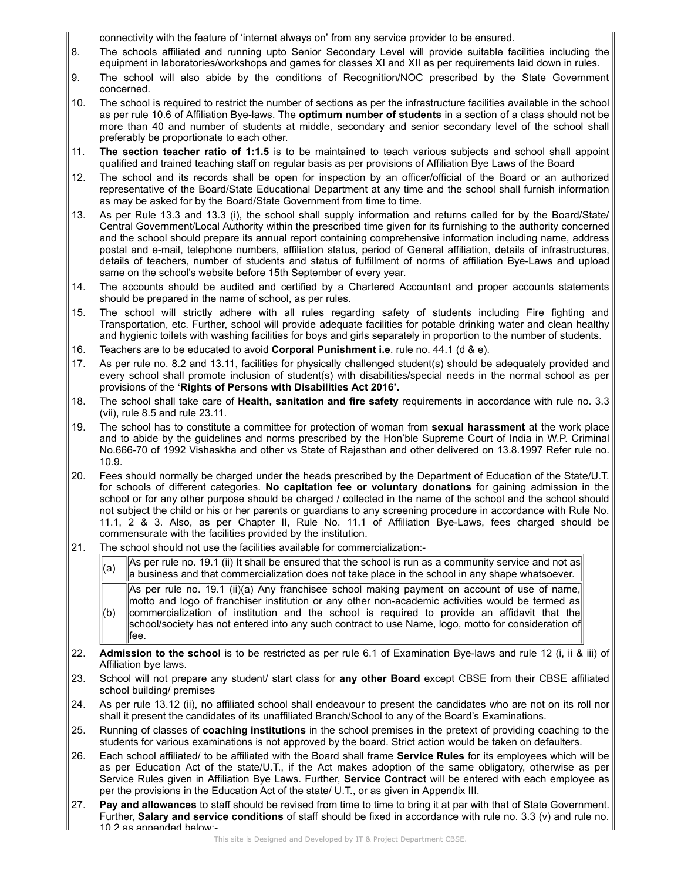connectivity with the feature of 'internet always on' from any service provider to be ensured.

- 8. The schools affiliated and running upto Senior Secondary Level will provide suitable facilities including the equipment in laboratories/workshops and games for classes XI and XII as per requirements laid down in rules.
- 9. The school will also abide by the conditions of Recognition/NOC prescribed by the State Government concerned.
- 10. The school is required to restrict the number of sections as per the infrastructure facilities available in the school as per rule 10.6 of Affiliation Bye-laws. The optimum number of students in a section of a class should not be more than 40 and number of students at middle, secondary and senior secondary level of the school shall preferably be proportionate to each other.
- 11. The section teacher ratio of 1:1.5 is to be maintained to teach various subjects and school shall appoint qualified and trained teaching staff on regular basis as per provisions of Affiliation Bye Laws of the Board
- 12. The school and its records shall be open for inspection by an officer/official of the Board or an authorized representative of the Board/State Educational Department at any time and the school shall furnish information as may be asked for by the Board/State Government from time to time.
- 13. As per Rule 13.3 and 13.3 (i), the school shall supply information and returns called for by the Board/State/ Central Government/Local Authority within the prescribed time given for its furnishing to the authority concerned and the school should prepare its annual report containing comprehensive information including name, address postal and e-mail, telephone numbers, affiliation status, period of General affiliation, details of infrastructures, details of teachers, number of students and status of fulfillment of norms of affiliation Bye-Laws and upload same on the school's website before 15th September of every year.
- 14. The accounts should be audited and certified by a Chartered Accountant and proper accounts statements should be prepared in the name of school, as per rules.
- 15. The school will strictly adhere with all rules regarding safety of students including Fire fighting and Transportation, etc. Further, school will provide adequate facilities for potable drinking water and clean healthy and hygienic toilets with washing facilities for boys and girls separately in proportion to the number of students.
- 16. Teachers are to be educated to avoid Corporal Punishment i.e. rule no. 44.1 (d & e).
- 17. As per rule no. 8.2 and 13.11, facilities for physically challenged student(s) should be adequately provided and every school shall promote inclusion of student(s) with disabilities/special needs in the normal school as per provisions of the 'Rights of Persons with Disabilities Act 2016'.
- 18. The school shall take care of Health, sanitation and fire safety requirements in accordance with rule no. 3.3 (vii), rule 8.5 and rule 23.11.
- 19. The school has to constitute a committee for protection of woman from sexual harassment at the work place and to abide by the guidelines and norms prescribed by the Hon'ble Supreme Court of India in W.P. Criminal No.666-70 of 1992 Vishaskha and other vs State of Rajasthan and other delivered on 13.8.1997 Refer rule no. 10.9.
- 20. Fees should normally be charged under the heads prescribed by the Department of Education of the State/U.T. for schools of different categories. No capitation fee or voluntary donations for gaining admission in the school or for any other purpose should be charged / collected in the name of the school and the school should not subject the child or his or her parents or guardians to any screening procedure in accordance with Rule No. 11.1, 2 & 3. Also, as per Chapter II, Rule No. 11.1 of Affiliation Bye-Laws, fees charged should be commensurate with the facilities provided by the institution.
- 21. The school should not use the facilities available for commercialization:-
	- $\begin{bmatrix} a_0 \\ b_1 \end{bmatrix}$  As per rule no. 19.1 (ii) It shall be ensured that the school is run as a community service and not as a business and that commercialization does not take place in the school in any shape whatsoever.  $(b)$ As per rule no. 19.1 (ii)(a) Any franchisee school making payment on account of use of name, motto and logo of franchiser institution or any other non-academic activities would be termed as commercialization of institution and the school is required to provide an affidavit that the
	- school/society has not entered into any such contract to use Name, logo, motto for consideration of fee.
- 22. Admission to the school is to be restricted as per rule 6.1 of Examination Bye-laws and rule 12 (i, ii & iii) of Affiliation bye laws.
- 23. School will not prepare any student/ start class for any other Board except CBSE from their CBSE affiliated school building/ premises
- 24. As per rule 13.12 (ii), no affiliated school shall endeavour to present the candidates who are not on its roll nor shall it present the candidates of its unaffiliated Branch/School to any of the Board's Examinations.
- 25. Running of classes of coaching institutions in the school premises in the pretext of providing coaching to the students for various examinations is not approved by the board. Strict action would be taken on defaulters.
- 26. Each school affiliated/ to be affiliated with the Board shall frame Service Rules for its employees which will be as per Education Act of the state/U.T., if the Act makes adoption of the same obligatory, otherwise as per Service Rules given in Affiliation Bye Laws. Further, Service Contract will be entered with each employee as per the provisions in the Education Act of the state/ U.T., or as given in Appendix III.
- 27. Pay and allowances to staff should be revised from time to time to bring it at par with that of State Government. Further, Salary and service conditions of staff should be fixed in accordance with rule no. 3.3 (v) and rule no. 10.2 as appended below:-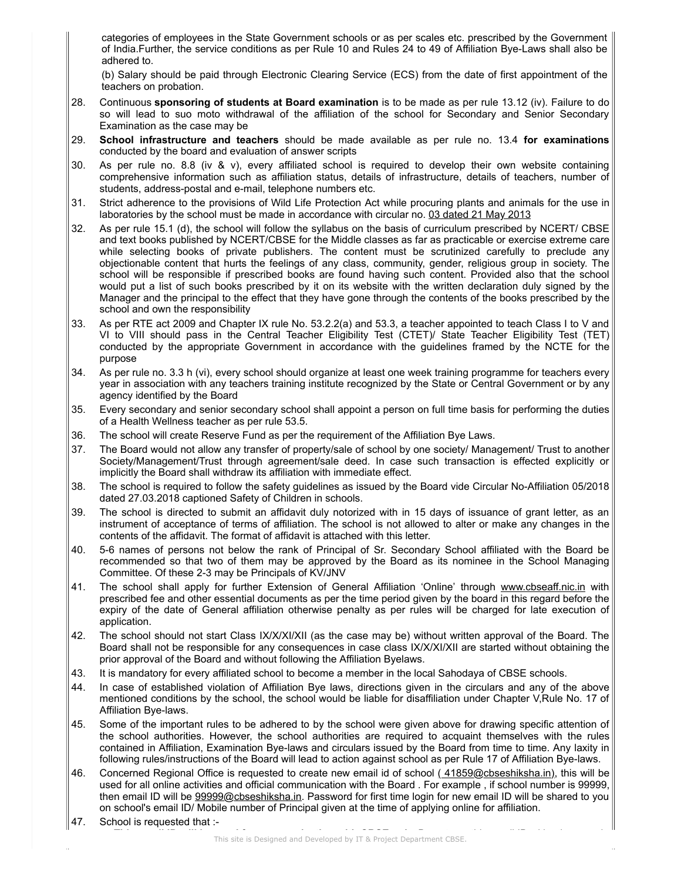categories of employees in the State Government schools or as per scales etc. prescribed by the Government of India.Further, the service conditions as per Rule 10 and Rules 24 to 49 of Affiliation Bye-Laws shall also be adhered to.

(b) Salary should be paid through Electronic Clearing Service (ECS) from the date of first appointment of the teachers on probation.

- 28. Continuous sponsoring of students at Board examination is to be made as per rule 13.12 (iv). Failure to do so will lead to suo moto withdrawal of the affiliation of the school for Secondary and Senior Secondary Examination as the case may be
- 29. School infrastructure and teachers should be made available as per rule no. 13.4 for examinations conducted by the board and evaluation of answer scripts
- 30. As per rule no. 8.8 (iv & v), every affiliated school is required to develop their own website containing comprehensive information such as affiliation status, details of infrastructure, details of teachers, number of students, address-postal and e-mail, telephone numbers etc.
- 31. Strict adherence to the provisions of Wild Life Protection Act while procuring plants and animals for the use in laboratories by the school must be made in accordance with circular no. 03 dated 21 May 2013
- 32. As per rule 15.1 (d), the school will follow the syllabus on the basis of curriculum prescribed by NCERT/ CBSE and text books published by NCERT/CBSE for the Middle classes as far as practicable or exercise extreme care while selecting books of private publishers. The content must be scrutinized carefully to preclude any objectionable content that hurts the feelings of any class, community, gender, religious group in society. The school will be responsible if prescribed books are found having such content. Provided also that the school would put a list of such books prescribed by it on its website with the written declaration duly signed by the Manager and the principal to the effect that they have gone through the contents of the books prescribed by the school and own the responsibility
- 33. As per RTE act 2009 and Chapter IX rule No. 53.2.2(a) and 53.3, a teacher appointed to teach Class I to V and VI to VIII should pass in the Central Teacher Eligibility Test (CTET)/ State Teacher Eligibility Test (TET) conducted by the appropriate Government in accordance with the guidelines framed by the NCTE for the purpose
- 34. As per rule no. 3.3 h (vi), every school should organize at least one week training programme for teachers every year in association with any teachers training institute recognized by the State or Central Government or by any agency identified by the Board
- 35. Every secondary and senior secondary school shall appoint a person on full time basis for performing the duties of a Health Wellness teacher as per rule 53.5.
- 36. The school will create Reserve Fund as per the requirement of the Affiliation Bye Laws.
- 37. The Board would not allow any transfer of property/sale of school by one society/ Management/ Trust to another Society/Management/Trust through agreement/sale deed. In case such transaction is effected explicitly or implicitly the Board shall withdraw its affiliation with immediate effect.
- 38. The school is required to follow the safety guidelines as issued by the Board vide Circular No-Affiliation 05/2018 dated 27.03.2018 captioned Safety of Children in schools.
- 39. The school is directed to submit an affidavit duly notorized with in 15 days of issuance of grant letter, as an instrument of acceptance of terms of affiliation. The school is not allowed to alter or make any changes in the contents of the affidavit. The format of affidavit is attached with this letter.
- 40. 5-6 names of persons not below the rank of Principal of Sr. Secondary School affiliated with the Board be recommended so that two of them may be approved by the Board as its nominee in the School Managing Committee. Of these 2-3 may be Principals of KV/JNV
- 41. The school shall apply for further Extension of General Affiliation 'Online' through www.cbseaff.nic.in with prescribed fee and other essential documents as per the time period given by the board in this regard before the expiry of the date of General affiliation otherwise penalty as per rules will be charged for late execution of application.
- 42. The school should not start Class IX/X/XI/XII (as the case may be) without written approval of the Board. The Board shall not be responsible for any consequences in case class IX/X/XI/XII are started without obtaining the prior approval of the Board and without following the Affiliation Byelaws.
- 43. It is mandatory for every affiliated school to become a member in the local Sahodaya of CBSE schools.
- 44. In case of established violation of Affiliation Bye laws, directions given in the circulars and any of the above mentioned conditions by the school, the school would be liable for disaffiliation under Chapter V,Rule No. 17 of Affiliation Bye-laws.
- 45. Some of the important rules to be adhered to by the school were given above for drawing specific attention of the school authorities. However, the school authorities are required to acquaint themselves with the rules contained in Affiliation, Examination Bye-laws and circulars issued by the Board from time to time. Any laxity in following rules/instructions of the Board will lead to action against school as per Rule 17 of Affiliation Bye-laws.
- 46. Concerned Regional Office is requested to create new email id of school (41859@cbseshiksha.in), this will be used for all online activities and official communication with the Board . For example , if school number is 99999, then email ID will be 99999@cbseshiksha.in. Password for first time login for new email ID will be shared to you on school's email ID/ Mobile number of Principal given at the time of applying online for affiliation.
- 47. School is requested that :-